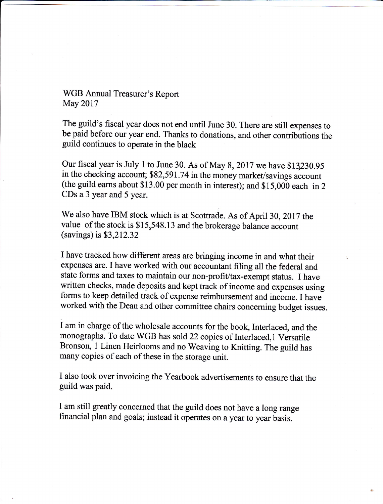WGB Annual Treasurer's Report May 2017

The guild's fiscal year does not end until June 30. There are still expenses to be paid before our year end. Thanks to donations, and other contributions the guild continues to operate in the black

Our fiscal year is July 1 to June 30. As of May 8, 2017 we have \$13230.95 in the checking account; \$82,591.74 in the money market/savings account (the guild earns about \$13.00 per month in interest); and  $$15,000$  each in 2 CDs a 3 year and 5 year.

We also have IBM stock which is at Scottrade. As of April 30, 2017 the value of the stock is \$15,548.13 and the brokerage balance account (savings) is\$3,212.32

I have tracked how different areas are bringing income in and what their expenses are. I have worked with our accountant filing all the federal and state forms and taxes to maintain our non-profit/tax-exempt status. I have written checks, made deposits and kept track of income and expenses using forms to keep detailed track of expense reimbursement and income. I have worked with the Dean and other committee chairs concerning budget issues.

I am in charge of the wholesale accounts for the book, Interlaced, and the monographs. To date WGB has sold 22 copies of Interlaced, 1 Versatile Bronson, I Linen Heirlooms and no Weaving to Knitting. The guild has many copies of each of these in the storage unit.

I also took over invoicing the Yearbook advertisements to ensure that the guild was paid.

I am still greatly concerned that the guild does not have a long range financial plan and goals; instead it operates on a year to year basis.